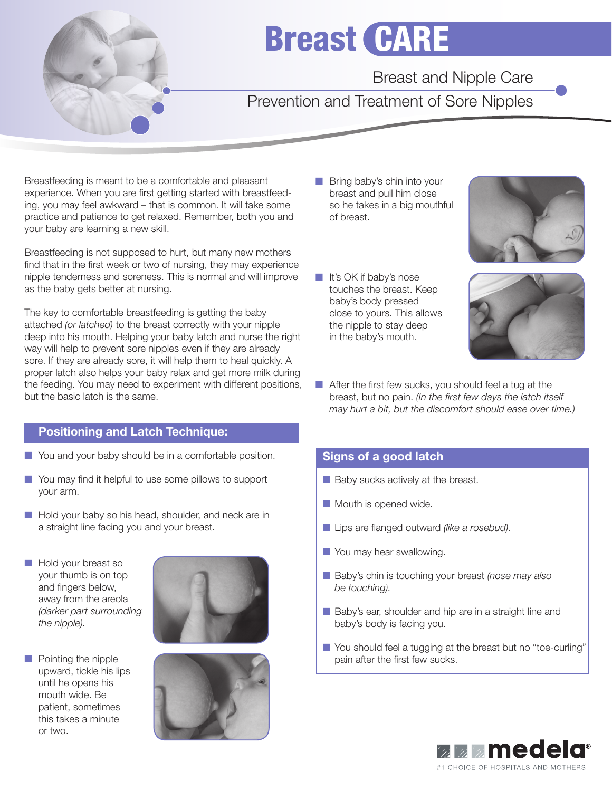

# Breast CARE

Breast and Nipple Care

Prevention and Treatment of Sore Nipples

Breastfeeding is meant to be a comfortable and pleasant experience. When you are first getting started with breastfeeding, you may feel awkward – that is common. It will take some practice and patience to get relaxed. Remember, both you and your baby are learning a new skill.

Breastfeeding is not supposed to hurt, but many new mothers find that in the first week or two of nursing, they may experience nipple tenderness and soreness. This is normal and will improve as the baby gets better at nursing.

The key to comfortable breastfeeding is getting the baby attached *(or latched)* to the breast correctly with your nipple deep into his mouth. Helping your baby latch and nurse the right way will help to prevent sore nipples even if they are already sore. If they are already sore, it will help them to heal quickly. A proper latch also helps your baby relax and get more milk during the feeding. You may need to experiment with different positions, but the basic latch is the same.

# Positioning and Latch Technique:

- You and your baby should be in a comfortable position.
- You may find it helpful to use some pillows to support your arm.
- Hold your baby so his head, shoulder, and neck are in a straight line facing you and your breast.
- Hold your breast so your thumb is on top and fingers below, away from the areola *(darker part surrounding the nipple).*







- Bring baby's chin into your breast and pull him close so he takes in a big mouthful of breast.
- It's OK if baby's nose touches the breast. Keep baby's body pressed close to yours. This allows the nipple to stay deep in the baby's mouth.





■ After the first few sucks, you should feel a tug at the breast, but no pain. (In the first few days the latch itself  *may hurt a bit, but the discomfort should ease over time.)*

# Signs of a good latch

- Baby sucks actively at the breast.
- Mouth is opened wide.
- Lips are flanged outward (like a rosebud).
- You may hear swallowing.
- Baby's chin is touching your breast *(nose may also be touching).*
- Baby's ear, shoulder and hip are in a straight line and baby's body is facing you.
- You should feel a tugging at the breast but no "toe-curling" pain after the first few sucks.